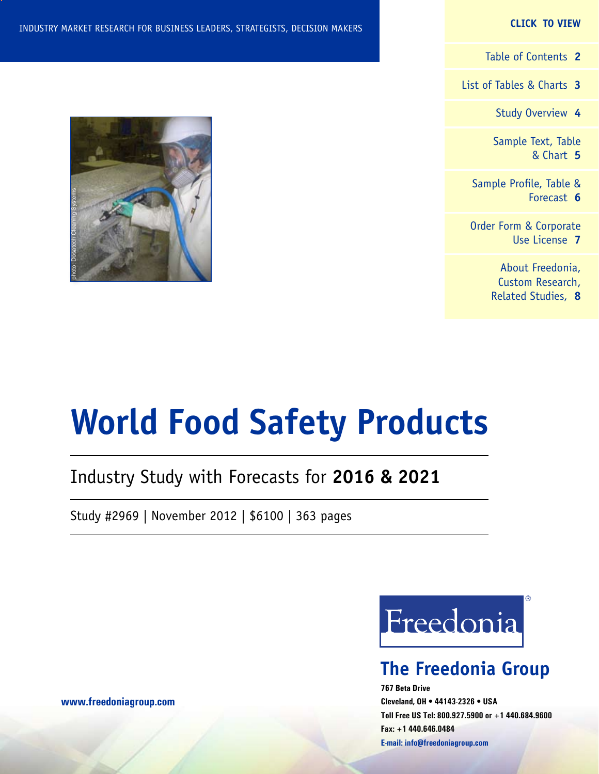### **CLICK TO VIEW**

[Table of Contents](#page-1-0) **2**

[List of Tables & Charts](#page-2-0) **3**

[Study Overview](#page-3-0) **4**

[Sample Text, Table](#page-4-0) [& Chart](#page-4-0) **5**

[Sample Profile, Table &](#page-5-0) [Forecast](#page-5-0) **6**

[Order Form & Corporate](#page-6-0) [Use License](#page-6-0) **7**

> [About Freedonia,](#page-7-0) [Custom Research,](#page-7-0) [Related Studies,](#page-7-0) **8**



# **World Food Safety Products**

## Industry Study with Forecasts for **2016 & 2021**

Study #2969 | November 2012 | \$6100 | 363 pages



## **The Freedonia Group**

**767 Beta Drive Cleveland, OH • 44143-2326 • USA Toll Free US Tel: 800.927.5900 or +1 440.684.9600 Fax: +1 440.646.0484 E-mail: [info@freedoniagroup.com](mailto:info@freedoniagroup.com)**

**[www.freedoniagroup.com](http://www.freedoniagroup.com/Home.aspx?ReferrerId=FM-Bro)**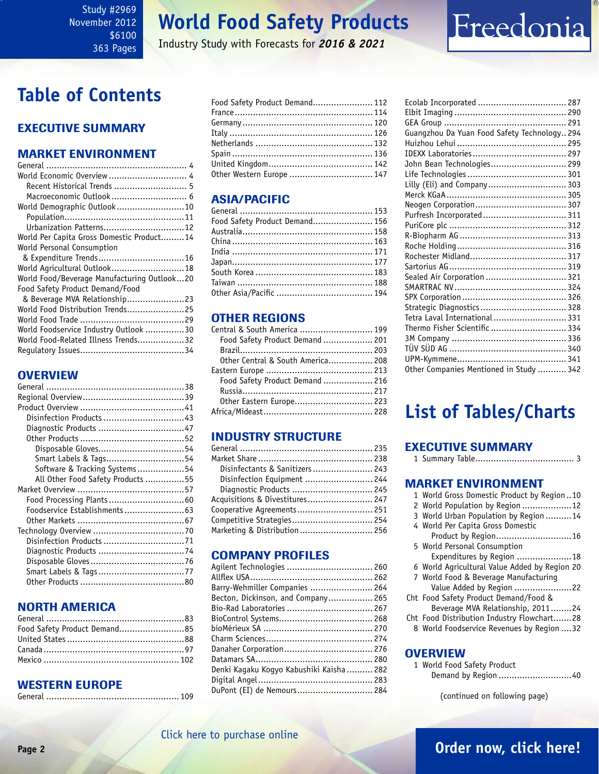### <span id="page-1-0"></span>Study #2969 November 2012 \$6100 363 Pages

## **World Food Safety Products**

Industry Study with Forecasts for *2016 & 2021*

## **Table of Contents**

### Executive Summary

### Market EnvironmenT

| World Economic Overview  4                  |
|---------------------------------------------|
| Recent Historical Trends  5                 |
| Macroeconomic Outlook 6                     |
| World Demographic Outlook10                 |
|                                             |
| Urbanization Patterns 12                    |
| World Per Capita Gross Domestic Product14   |
| World Personal Consumption                  |
|                                             |
| World Agricultural Outlook 18               |
| World Food/Beverage Manufacturing Outlook20 |
| Food Safety Product Demand/Food             |
| & Beverage MVA Relationship23               |
| World Food Distribution Trends25            |
|                                             |
| World Foodservice Industry Outlook 30       |
| World Food-Related Illness Trends32         |
|                                             |

### **OVERVIEW**

| Disposable Gloves54               |  |
|-----------------------------------|--|
| Smart Labels & Tags54             |  |
| Software & Tracking Systems54     |  |
| All Other Food Safety Products 55 |  |
|                                   |  |
|                                   |  |
| Foodservice Establishments63      |  |
|                                   |  |
|                                   |  |
|                                   |  |
|                                   |  |
|                                   |  |
| Smart Labels & Tags77             |  |
|                                   |  |

### NORTH AMERICA

| Food Safety Product Demand85 |  |
|------------------------------|--|
|                              |  |
|                              |  |
|                              |  |

### WESTERN EUROPE

|--|--|

| Food Safety Product Demand 112 |  |
|--------------------------------|--|
|                                |  |
|                                |  |
|                                |  |
|                                |  |
|                                |  |
|                                |  |
| Other Western Europe  147      |  |

### ASIA/PACIFIC

| Food Safety Product Demand 156 |  |
|--------------------------------|--|
|                                |  |
|                                |  |
|                                |  |
|                                |  |
|                                |  |
|                                |  |
|                                |  |
|                                |  |

### OTHER REGIONS

| Central & South America  199      |  |
|-----------------------------------|--|
| Food Safety Product Demand  201   |  |
|                                   |  |
| Other Central & South America 208 |  |
|                                   |  |
| Food Safety Product Demand  216   |  |
|                                   |  |
| Other Eastern Europe 223          |  |
|                                   |  |

### INDUSTRY STRUCTURE

| Disinfectants & Sanitizers  243 |  |
|---------------------------------|--|
| Disinfection Equipment  244     |  |
| Diagnostic Products  245        |  |
| Acquisitions & Divestitures 247 |  |
| Cooperative Agreements 251      |  |
| Competitive Strategies 254      |  |
| Marketing & Distribution  256   |  |

### Company Profiles

| Agilent Technologies  260                |  |
|------------------------------------------|--|
|                                          |  |
| Barry-Wehmiller Companies  264           |  |
| Becton, Dickinson, and Company 265       |  |
| Bio-Rad Laboratories  267                |  |
|                                          |  |
|                                          |  |
|                                          |  |
|                                          |  |
|                                          |  |
| Denki Kaqaku Koqyo Kabushiki Kaisha  282 |  |
|                                          |  |
| DuPont (EI) de Nemours 284               |  |
|                                          |  |

| Ecolab Incorporated  287                     |  |
|----------------------------------------------|--|
|                                              |  |
|                                              |  |
| Guangzhou Da Yuan Food Safety Technology 294 |  |
|                                              |  |
|                                              |  |
| John Bean Technologies 299                   |  |
|                                              |  |
| Lilly (Eli) and Company 303                  |  |
|                                              |  |
|                                              |  |
| Purfresh Incorporated 311                    |  |
|                                              |  |
|                                              |  |
|                                              |  |
|                                              |  |
|                                              |  |
| Sealed Air Corporation  321                  |  |
|                                              |  |
|                                              |  |
| Strategic Diagnostics  328                   |  |
| Tetra Laval International 331                |  |
| Thermo Fisher Scientific  334                |  |
|                                              |  |
|                                              |  |
|                                              |  |
| Other Companies Mentioned in Study  342      |  |

Freedonia

## **List of Tables/Charts**

#### Executive Summary 1 Summary Table...................................... 3

| <b>MARKET ENVIRONMENT</b>                     |
|-----------------------------------------------|
| 1 World Gross Domestic Product by Region10    |
| 2 World Population by Region 12               |
| 3 World Urban Population by Region 14         |
| 4 World Per Capita Gross Domestic             |
| Product by Region16                           |
| 5 World Personal Consumption                  |
| Expenditures by Region 18                     |
| 6 World Agricultural Value Added by Region 20 |
| 7 World Food & Beverage Manufacturing         |
| Value Added by Region 22                      |
| Cht Food Safety Product Demand/Food &         |
| Beverage MVA Relationship, 201124             |
| Cht Food Distribution Industry Flowchart28    |
| 8 World Foodservice Revenues by Region  32    |
|                                               |
|                                               |

### **OVERVIEW**

| 1 World Food Safety Product |
|-----------------------------|
|                             |

(continued on following page)

### [Click here to purchase online](http://www.freedoniagroup.com/DocumentDetails.aspx?Referrerid=FM-Bro&StudyID=2969)

### **Page 2 [Order now, click here!](#page-6-0)**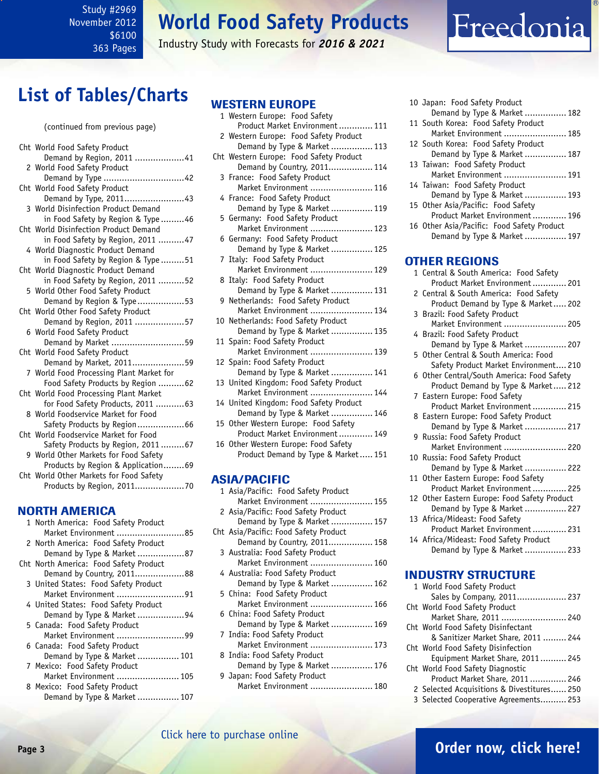<span id="page-2-0"></span>Study #2969 November 2012 \$6100 363 Pages

## **World Food Safety Products**

Industry Study with Forecasts for *2016 & 2021*

## **List of Tables/Charts**

#### (continued from previous page)

| Cht World Food Safety Product            |
|------------------------------------------|
| Demand by Region, 2011 41                |
| 2 World Food Safety Product              |
| Demand by Type 42                        |
| Cht World Food Safety Product            |
| Demand by Type, 201143                   |
| 3 World Disinfection Product Demand      |
| in Food Safety by Region & Type46        |
| Cht World Disinfection Product Demand    |
| in Food Safety by Region, 2011 47        |
| 4 World Diagnostic Product Demand        |
| in Food Safety by Region & Type51        |
| Cht World Diagnostic Product Demand      |
| in Food Safety by Region, 2011 52        |
| 5 World Other Food Safety Product        |
| Demand by Region & Type53                |
| Cht World Other Food Safety Product      |
| Demand by Region, 2011 57                |
| 6 World Food Safety Product              |
| Demand by Market 59                      |
| Cht World Food Safety Product            |
| Demand by Market, 201159                 |
| 7 World Food Processing Plant Market for |
| Food Safety Products by Region 62        |
| Cht World Food Processing Plant Market   |
| for Food Safety Products, 2011  63       |
| 8 World Foodservice Market for Food      |
| Safety Products by Region66              |
| Cht World Foodservice Market for Food    |
| Safety Products by Region, 201167        |
| 9 World Other Markets for Food Safety    |
| Products by Region & Application69       |
| Cht World Other Markets for Food Safety  |
|                                          |

### NORTH AMERICA

| 1 North America: Food Safety Product   |
|----------------------------------------|
| Market Environment 85                  |
| 2 North America: Food Safety Product   |
| Demand by Type & Market 87             |
| Cht North America: Food Safety Product |
| Demand by Country, 201188              |
| 3 United States: Food Safety Product   |
| Market Environment 91                  |
| 4 United States: Food Safety Product   |
| Demand by Type & Market 94             |
| 5 Canada: Food Safety Product          |
| Market Environment 99                  |
| 6 Canada: Food Safety Product          |
| Demand by Type & Market  101           |
| 7 Mexico: Food Safety Product          |
| Market Environment  105                |
| 8 Mexico: Food Safety Product          |
| Demand by Type & Market  107           |

### WESTERN EUROPE

| 1 Western Europe: Food Safety           |
|-----------------------------------------|
| Product Market Environment  111         |
| 2 Western Europe: Food Safety Product   |
| Demand by Type & Market  113            |
| Cht Western Europe: Food Safety Product |
| Demand by Country, 2011 114             |
| 3 France: Food Safety Product           |
| Market Environment  116                 |
| 4 France: Food Safety Product           |
| Demand by Type & Market  119            |
| 5 Germany: Food Safety Product          |
| Market Environment  123                 |
| 6 Germany: Food Safety Product          |
| Demand by Type & Market  125            |
| 7 Italy: Food Safety Product            |
| Market Environment  129                 |
| 8 Italy: Food Safety Product            |
| Demand by Type & Market  131            |
| 9 Netherlands: Food Safety Product      |
| Market Environment  134                 |
| 10 Netherlands: Food Safety Product     |
| Demand by Type & Market  135            |
| 11 Spain: Food Safety Product           |
| Market Environment  139                 |
| 12 Spain: Food Safety Product           |
|                                         |
| 13 United Kingdom: Food Safety Product  |
| Market Environment  144                 |
| 14 United Kingdom: Food Safety Product  |
| Demand by Type & Market  146            |
| 15 Other Western Europe: Food Safety    |
| Product Market Environment 149          |
| 16 Other Western Europe: Food Safety    |
| Product Demand by Type & Market 151     |
|                                         |
| <b>ASIA/PACIFIC</b>                     |
| 1 Asia/Pacific: Food Safety Product     |

| 1 Asia/Pacific: Food Safety Product   |
|---------------------------------------|
| Market Environment  155               |
| 2 Asia/Pacific: Food Safety Product   |
| Demand by Type & Market  157          |
| Cht Asia/Pacific: Food Safety Product |
| Demand by Country, 2011 158           |
| 3 Australia: Food Safety Product      |
| Market Environment  160               |
| 4 Australia: Food Safety Product      |
| Demand by Type & Market  162          |
| 5 China: Food Safety Product          |
| Market Environment  166               |
| 6 China: Food Safety Product          |
| Demand by Type & Market  169          |
| 7 India: Food Safety Product          |
| Market Environment  173               |
| 8 India: Food Safety Product          |
| Demand by Type & Market  176          |
| 9 Japan: Food Safety Product          |
| Market Environment  180               |
|                                       |

| 10 Japan: Food Safety Product                                                                                                                                                                                                                                                                                                      |
|------------------------------------------------------------------------------------------------------------------------------------------------------------------------------------------------------------------------------------------------------------------------------------------------------------------------------------|
| Demand by Type & Market  182                                                                                                                                                                                                                                                                                                       |
| 11 South Korea: Food Safety Product                                                                                                                                                                                                                                                                                                |
| Market Environment  185<br>12 South Korea: Food Safety Product                                                                                                                                                                                                                                                                     |
| Demand by Type & Market  187                                                                                                                                                                                                                                                                                                       |
| 13 Taiwan: Food Safety Product                                                                                                                                                                                                                                                                                                     |
| Market Environment  191                                                                                                                                                                                                                                                                                                            |
| 14 Taiwan: Food Safety Product                                                                                                                                                                                                                                                                                                     |
| Demand by Type & Market  193                                                                                                                                                                                                                                                                                                       |
| 15 Other Asia/Pacific: Food Safety<br>Product Market Environment 196                                                                                                                                                                                                                                                               |
| 16 Other Asia/Pacific: Food Safety Product                                                                                                                                                                                                                                                                                         |
| Demand by Type & Market  197                                                                                                                                                                                                                                                                                                       |
|                                                                                                                                                                                                                                                                                                                                    |
| <b>OTHER REGIONS</b>                                                                                                                                                                                                                                                                                                               |
| 1 Central & South America: Food Safety                                                                                                                                                                                                                                                                                             |
| Product Market Environment 201                                                                                                                                                                                                                                                                                                     |
| 2 Central & South America: Food Safety                                                                                                                                                                                                                                                                                             |
| Product Demand by Type & Market 202<br>3 Brazil: Food Safety Product                                                                                                                                                                                                                                                               |
| Market Environment  205                                                                                                                                                                                                                                                                                                            |
| 4 Brazil: Food Safety Product                                                                                                                                                                                                                                                                                                      |
| Demand by Type & Market  207                                                                                                                                                                                                                                                                                                       |
| 5 Other Central & South America: Food                                                                                                                                                                                                                                                                                              |
| Safety Product Market Environment 210                                                                                                                                                                                                                                                                                              |
| 6 Other Central/South America: Food Safety<br>Product Demand by Type & Market 212                                                                                                                                                                                                                                                  |
| 7 Eastern Europe: Food Safety                                                                                                                                                                                                                                                                                                      |
| Product Market Environment  215                                                                                                                                                                                                                                                                                                    |
| 8 Eastern Europe: Food Safety Product                                                                                                                                                                                                                                                                                              |
| Demand by Type & Market  217                                                                                                                                                                                                                                                                                                       |
| 9 Russia: Food Safety Product<br>Market Environment  220                                                                                                                                                                                                                                                                           |
| 10 Russia: Food Safety Product                                                                                                                                                                                                                                                                                                     |
| $\mathbf{1}$ $\mathbf{1}$ $\mathbf{1}$ $\mathbf{1}$ $\mathbf{1}$ $\mathbf{1}$ $\mathbf{1}$ $\mathbf{1}$ $\mathbf{1}$ $\mathbf{1}$ $\mathbf{1}$ $\mathbf{1}$ $\mathbf{1}$ $\mathbf{1}$ $\mathbf{1}$ $\mathbf{1}$ $\mathbf{1}$ $\mathbf{1}$ $\mathbf{1}$ $\mathbf{1}$ $\mathbf{1}$ $\mathbf{1}$ $\mathbf{1}$ $\mathbf{1}$ $\mathbf{$ |

Freedonia

| Demand by Type & Market  222                 |  |
|----------------------------------------------|--|
| 11 Other Eastern Europe: Food Safety         |  |
| Product Market Environment 225               |  |
| 12 Other Eastern Europe: Food Safety Product |  |
| Demand by Type & Market  227                 |  |

- 13 Africa/Mideast: Food Safety Product Market Environment............. 231 14 Africa/Mideast: Food Safety Product
- Demand by Type & Market ................ 233

### INDUSTRY STRUCTURE

| 1 World Food Safety Product               |
|-------------------------------------------|
| Sales by Company, 2011 237                |
| Cht World Food Safety Product             |
| Market Share, 2011  240                   |
| Cht World Food Safety Disinfectant        |
| & Sanitizer Market Share, 2011  244       |
| Cht World Food Safety Disinfection        |
| Equipment Market Share, 2011 245          |
| Cht World Food Safety Diagnostic          |
| Product Market Share, 2011 246            |
| 2 Selected Acquisitions & Divestitures250 |
| 3 Selected Cooperative Agreements 253     |
|                                           |

### **Page 3 [Order now, click here!](#page-6-0)** [Click here to purchase online](http://www.freedoniagroup.com/DocumentDetails.aspx?Referrerid=FM-Bro&StudyID=2969)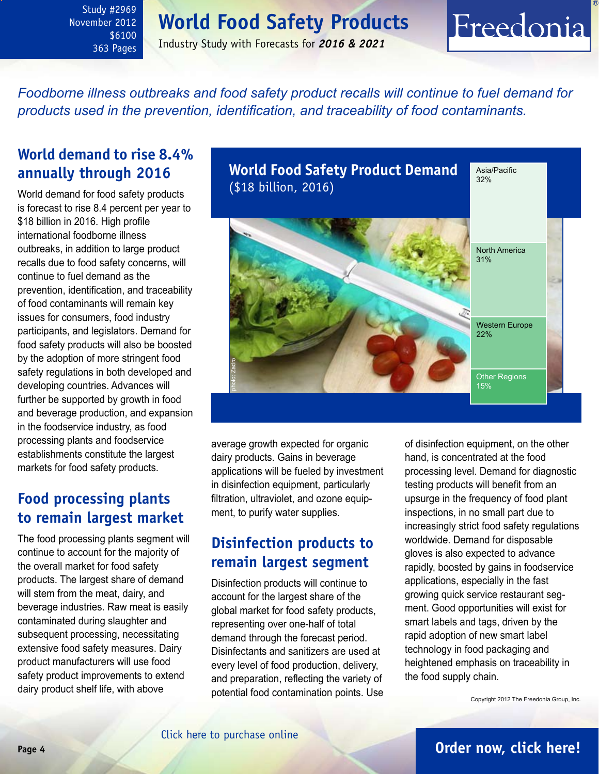## **World Food Safety Products**

<span id="page-3-0"></span>Study #2969 November 2012 \$6100 363 Pages

### Industry Study with Forecasts for *2016 & 2021*

*Foodborne illness outbreaks and food safety product recalls will continue to fuel demand for products used in the prevention, identification, and traceability of food contaminants.* 

### **World demand to rise 8.4% annually through 2016**

World demand for food safety products is forecast to rise 8.4 percent per year to \$18 billion in 2016. High profile international foodborne illness outbreaks, in addition to large product recalls due to food safety concerns, will continue to fuel demand as the prevention, identification, and traceability of food contaminants will remain key issues for consumers, food industry participants, and legislators. Demand for food safety products will also be boosted by the adoption of more stringent food safety regulations in both developed and developing countries. Advances will further be supported by growth in food and beverage production, and expansion in the foodservice industry, as food processing plants and foodservice establishments constitute the largest markets for food safety products.

### **Food processing plants to remain largest market**

The food processing plants segment will continue to account for the majority of the overall market for food safety products. The largest share of demand will stem from the meat, dairy, and beverage industries. Raw meat is easily contaminated during slaughter and subsequent processing, necessitating extensive food safety measures. Dairy product manufacturers will use food safety product improvements to extend dairy product shelf life, with above



average growth expected for organic dairy products. Gains in beverage applications will be fueled by investment in disinfection equipment, particularly filtration, ultraviolet, and ozone equipment, to purify water supplies.

### **Disinfection products to remain largest segment**

Disinfection products will continue to account for the largest share of the global market for food safety products, representing over one-half of total demand through the forecast period. Disinfectants and sanitizers are used at every level of food production, delivery, and preparation, reflecting the variety of potential food contamination points. Use of disinfection equipment, on the other hand, is concentrated at the food processing level. Demand for diagnostic testing products will benefit from an upsurge in the frequency of food plant inspections, in no small part due to increasingly strict food safety regulations worldwide. Demand for disposable gloves is also expected to advance rapidly, boosted by gains in foodservice applications, especially in the fast growing quick service restaurant segment. Good opportunities will exist for smart labels and tags, driven by the rapid adoption of new smart label technology in food packaging and heightened emphasis on traceability in the food supply chain.

Freedonia

Copyright 2012 The Freedonia Group, Inc.

### **Page 4 [Order now, click here!](#page-6-0)**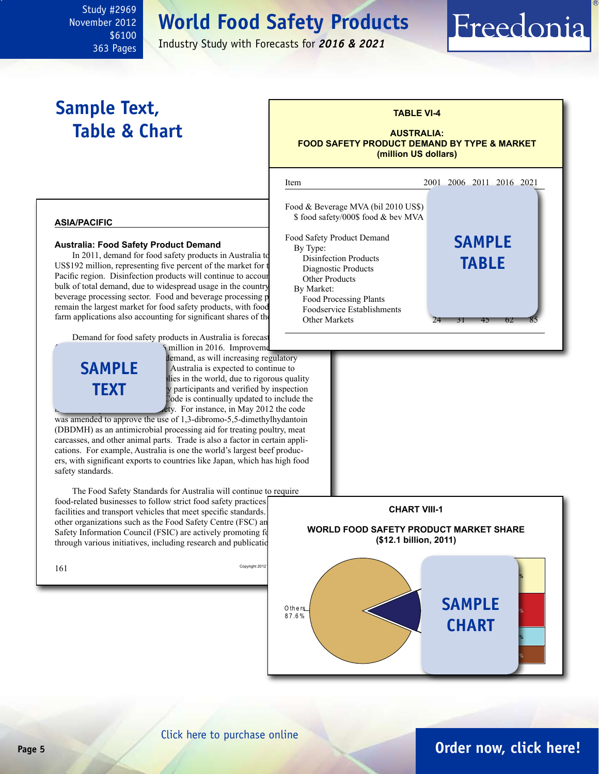## **World Food Safety Products**

Industry Study with Forecasts for *2016 & 2021*

## **Sample Text, Table & Chart**

<span id="page-4-0"></span>Study #2969 November 2012

> \$6100 363 Pages

### **TABLE VI-4**

#### **AUSTRALIA: FOOD SAFETY PRODUCT DEMAND BY TYPE & MARKET (million US dollars)**

Freedonia



### [Click here to purchase online](http://www.freedoniagroup.com/DocumentDetails.aspx?Referrerid=FM-Bro&StudyID=2969)

### **Page 5 [Order now, click here!](#page-6-0)**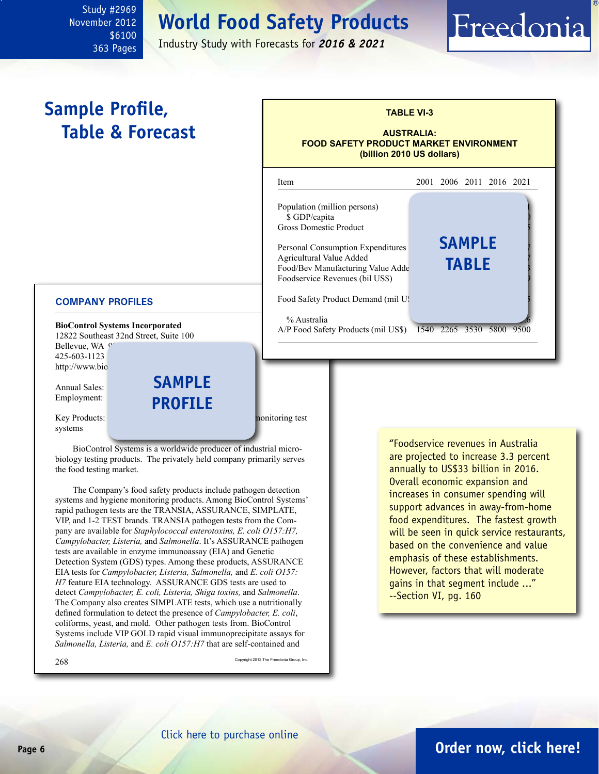## **World Food Safety Products**

Industry Study with Forecasts for *2016 & 2021*

## **Sample Profile, Table & Forecast**

<span id="page-5-0"></span>Study #2969 November 2012

> \$6100 363 Pages

### **TABLE VI-3 AUSTRALIA: FOOD SAFETY PRODUCT MARKET ENVIRONMENT (billion 2010 US dollars)** i Item 2001 2006 2011 2016 2021 Population (million persons) \$ GDP/capita Gross Domestic Product Personal Consumption Expenditures Agricultural Value Added Food/Bev Manufacturing Value Adde Foodservice Revenues (bil US\$) Food Safety Product Demand (mil US % Australia **sample table**

A/P Food Safety Products (mil US\$) 1540 2265 3530 5800 9500

#### **COMPANY PROFILES**

**BioControl Systems Incorporated** 12822 Southeast 32nd Street, Suite 100 Bellevue, WA <sup>e</sup> 425-603-1123 http://www.bio

Annual Sales: Employment:

**sample profile**

Key Products: pathogen detection systems and hygiene monitoring test systems

BioControl Systems is a worldwide producer of industrial microbiology testing products. The privately held company primarily serves the food testing market.

The Company's food safety products include pathogen detection systems and hygiene monitoring products. Among BioControl Systems' rapid pathogen tests are the TRANSIA, ASSURANCE, SIMPLATE, VIP, and 1-2 TEST brands. TRANSIA pathogen tests from the Company are available for *Staphylococcal enterotoxins, E. coli O157:H7, Campylobacter, Listeria,* and *Salmonella*. It's ASSURANCE pathogen tests are available in enzyme immunoassay (EIA) and Genetic Detection System (GDS) types. Among these products, ASSURANCE EIA tests for *Campylobacter, Listeria, Salmonella,* and *E. coli O157: H7* feature EIA technology. ASSURANCE GDS tests are used to detect *Campylobacter, E. coli, Listeria, Shiga toxins,* and *Salmonella*. The Company also creates SIMPLATE tests, which use a nutritionally defined formulation to detect the presence of *Campylobacter, E. coli*, coliforms, yeast, and mold. Other pathogen tests from. BioControl Systems include VIP GOLD rapid visual immunoprecipitate assays for *Salmonella, Listeria,* and *E. coli O157:H7* that are self-contained and

268 Copyright 2012 The Freedonia Group, Inc.

"Foodservice revenues in Australia are projected to increase 3.3 percent annually to US\$33 billion in 2016. Overall economic expansion and increases in consumer spending will support advances in away-from-home food expenditures. The fastest growth will be seen in quick service restaurants, based on the convenience and value emphasis of these establishments. However, factors that will moderate gains in that segment include ..." --Section VI, pg. 160

Freedonia

### **Page 6 [Order now, click here!](#page-6-0)**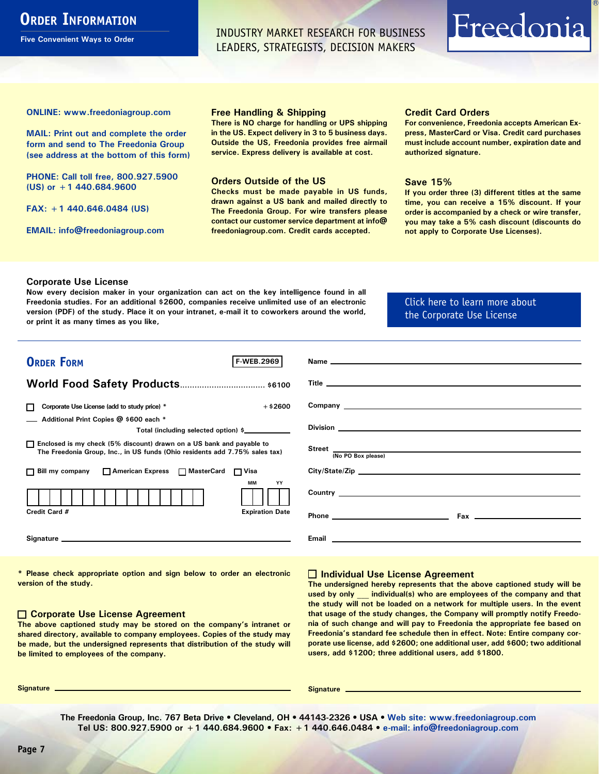### <span id="page-6-0"></span>**ORDER INFORMATION**

**Five Convenient Ways to Order**

INDUSTRY MARKET RESEARCH FOR BUSINESS LEADERS, STRATEGISTS, DECISION MAKERS

# Freedonia

**ONLINE: [www.freedoniagroup.com](http://www.freedoniagroup.com/DocumentDetails.aspx?Referrerid=FM-Bro&StudyID=2969)**

**MAIL: Print out and complete the order form and send to The Freedonia Group (see address at the bottom of this form)**

**PHONE: Call toll free, 800.927.5900 (US) or +1 440.684.9600**

**FAX: +1 440.646.0484 (US)**

**EMAIL: [info@freedoniagroup.com](mailto:info@freedoniagroup.com)**

#### **Free Handling & Shipping**

**There is NO charge for handling or UPS shipping in the US. Expect delivery in 3 to 5 business days. Outside the US, Freedonia provides free airmail service. Express delivery is available at cost.**

#### **Orders Outside of the US**

**Checks must be made payable in US funds, drawn against a US bank and mailed directly to The Freedonia Group. For wire transfers please contact our customer service department at info@ freedoniagroup.com. Credit cards accepted.**

#### **Credit Card Orders**

**For convenience, Freedonia accepts American Express, MasterCard or Visa. Credit card purchases must include account number, expiration date and authorized signature.**

#### **Save 15%**

**If you order three (3) different titles at the same time, you can receive a 15% discount. If your order is accompanied by a check or wire transfer, you may take a 5% cash discount (discounts do not apply to Corporate Use Licenses).**

#### **Corporate Use License**

**Now every decision maker in your organization can act on the key intelligence found in all Freedonia studies. For an additional \$2600, companies receive unlimited use of an electronic version (PDF) of the study. Place it on your intranet, e-mail it to coworkers around the world, or print it as many times as you like,** 

### [Click here to learn more about](http://www.freedoniagroup.com/pdf/FreedoniaCULBro.pdf)  [the Corporate Use License](http://www.freedoniagroup.com/pdf/FreedoniaCULBro.pdf)

| <b>ORDER FORM</b><br><b>F-WEB.2969</b>                                                                                                                                                                                         | Name experience and the second contract of the second contract of the second contract of the second contract of the second contract of the second contract of the second contract of the second contract of the second contrac       |
|--------------------------------------------------------------------------------------------------------------------------------------------------------------------------------------------------------------------------------|--------------------------------------------------------------------------------------------------------------------------------------------------------------------------------------------------------------------------------------|
|                                                                                                                                                                                                                                |                                                                                                                                                                                                                                      |
|                                                                                                                                                                                                                                |                                                                                                                                                                                                                                      |
|                                                                                                                                                                                                                                |                                                                                                                                                                                                                                      |
| $+$ \$2600<br>Corporate Use License (add to study price) *<br>П                                                                                                                                                                | Company <u>the company of the company of the company of the company of the company of the company of the company of the company of the company of the company of the company of the company of the company of the company of the</u> |
| Additional Print Copies @ \$600 each *                                                                                                                                                                                         |                                                                                                                                                                                                                                      |
| Total (including selected option) \$                                                                                                                                                                                           |                                                                                                                                                                                                                                      |
| □ Enclosed is my check (5% discount) drawn on a US bank and payable to<br>The Freedonia Group, Inc., in US funds (Ohio residents add 7.75% sales tax)                                                                          | Street (No PO Box please)                                                                                                                                                                                                            |
|                                                                                                                                                                                                                                |                                                                                                                                                                                                                                      |
| □ Bill my company □ American Express □ MasterCard □ Visa                                                                                                                                                                       | City/State/Zip                                                                                                                                                                                                                       |
| <b>MM</b><br>YY                                                                                                                                                                                                                |                                                                                                                                                                                                                                      |
| Credit Card #<br><b>Expiration Date</b>                                                                                                                                                                                        |                                                                                                                                                                                                                                      |
| Signature experience and the state of the state of the state of the state of the state of the state of the state of the state of the state of the state of the state of the state of the state of the state of the state of th |                                                                                                                                                                                                                                      |

**\* Please check appropriate option and sign below to order an electronic version of the study.**

#### **Corporate Use License Agreement**

**The above captioned study may be stored on the company's intranet or shared directory, available to company employees. Copies of the study may be made, but the undersigned represents that distribution of the study will be limited to employees of the company.**

### **Individual Use License Agreement**

**The undersigned hereby represents that the above captioned study will be used by only \_\_\_ individual(s) who are employees of the company and that the study will not be loaded on a network for multiple users. In the event that usage of the study changes, the Company will promptly notify Freedonia of such change and will pay to Freedonia the appropriate fee based on Freedonia's standard fee schedule then in effect. Note: Entire company corporate use license, add \$2600; one additional user, add \$600; two additional users, add \$1200; three additional users, add \$1800.**

**Signature Signature**

**The Freedonia Group, Inc. 767 Beta Drive • Cleveland, OH • 44143-2326 • USA • [Web site: www.freedoniagroup.com](http://www.freedoniagroup.com/Home.aspx?ReferrerId=FM-Bro) Tel US: 800.927.5900 or +1 440.684.9600 • Fax: +1 440.646.0484 • [e-mail: info@freedoniagroup.com](mailto:info@freedoniagroup.com)**